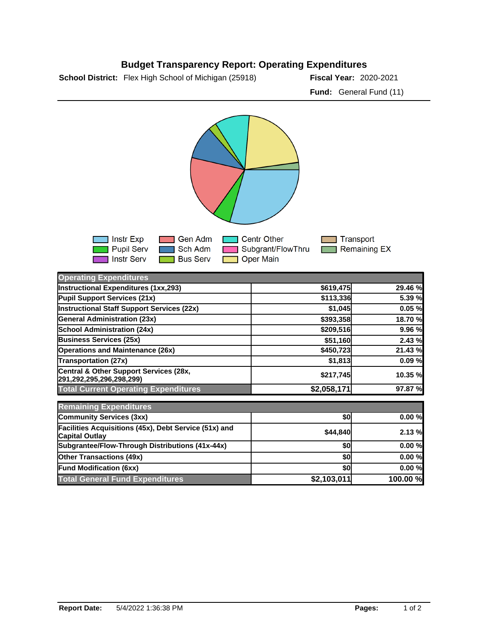## **Budget Transparency Report: Operating Expenditures**

**School District:** Flex High School of Michigan (25918) **Fiscal Year:** 2020-2021

**Fund:** General Fund (11)



| <b>Operating Expenditures</b>                                                  |             |          |
|--------------------------------------------------------------------------------|-------------|----------|
| Instructional Expenditures (1xx,293)                                           | \$619,475   | 29.46 %  |
| Pupil Support Services (21x)                                                   | \$113,336   | 5.39 %   |
| <b>Instructional Staff Support Services (22x)</b>                              | \$1,045     | 0.05%    |
| <b>General Administration (23x)</b>                                            | \$393,358   | 18.70 %  |
| <b>School Administration (24x)</b>                                             | \$209,516   | 9.96 %   |
| <b>Business Services (25x)</b>                                                 | \$51,160    | 2.43 %   |
| <b>Operations and Maintenance (26x)</b>                                        | \$450,723   | 21.43 %  |
| <b>Transportation (27x)</b>                                                    | \$1,813     | 0.09%    |
| Central & Other Support Services (28x,<br>291,292,295,296,298,299)             | \$217,745   | 10.35 %  |
| <b>Total Current Operating Expenditures</b>                                    | \$2,058,171 | 97.87 %  |
| <b>Remaining Expenditures</b>                                                  |             |          |
| Community Services (3xx)                                                       | \$0         | 0.00%    |
| Facilities Acquisitions (45x), Debt Service (51x) and<br><b>Capital Outlay</b> | \$44,840    | 2.13%    |
| Subgrantee/Flow-Through Distributions (41x-44x)                                | \$0         | 0.00%    |
| <b>Other Transactions (49x)</b>                                                | \$0         | 0.00%    |
| <b>Fund Modification (6xx)</b>                                                 | \$0l        | 0.00%    |
| <b>Total General Fund Expenditures</b>                                         | \$2,103,011 | 100.00 % |